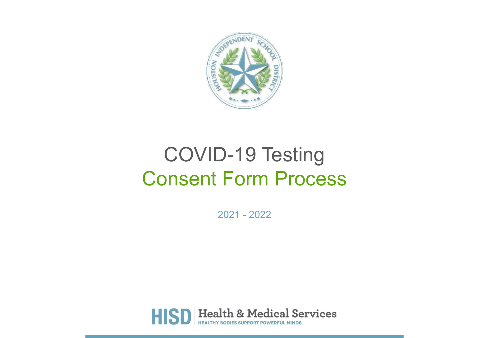

# COVID-19 Testing Consent Form Process

2021 - 2022

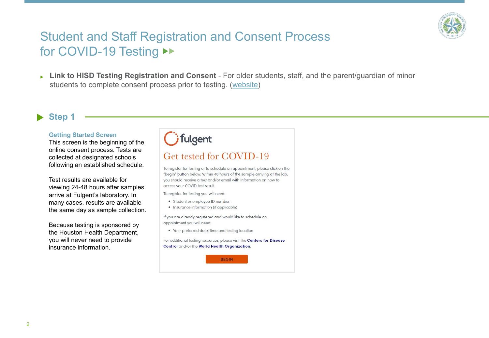

## Student and Staff Registration and Consent Process for COVID-19 Testing ▶▶

▶ **Link to HISD Testing Registration and Consent** - For older students, staff, and the parent/guardian of minor students to complete consent process prior to testing. ([website](https://backtoschool.fulgentgenetics.com/hisd/residence_appointment/screen/landing))

### **Step 1**

### **Getting Started Screen**

This screen is the beginning of the online consent process. Tests are collected at designated schools following an established schedule.

Test results are available for viewing 24-48 hours after samples arrive at Fulgent's laboratory. In many cases, results are available the same day as sample collection.

Because testing is sponsored by the Houston Health Department, you will never need to provide insurance information.

| <i>i</i> fulgent |  |
|------------------|--|
|------------------|--|

### Get tested for COVID-19

To register for testing or to schedule an appointment, please click on the "begin" button below. Within 48 hours of the sample arriving at the lab, you should receive a text and/or email with information on how to access your COVID test result.

To register for testing you will need:

- · Student or employee ID number
- Insurance information (if applicable)

If you are already registered and would like to schedule an appointment you will need:

. Your preferred date, time and testing location

For additional testing resources, please visit the Centers for Disease Control and/or the World Health Organization.

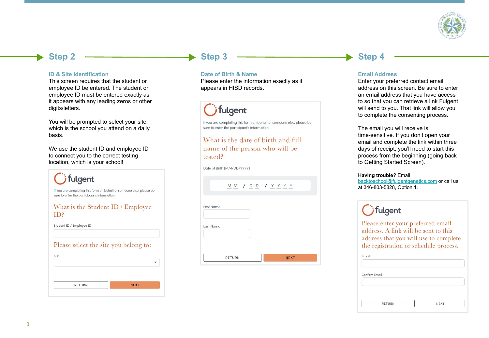

### **Step 2**

#### **ID & Site Identification**

This screen requires that the student or employee ID be entered. The student or employee ID must be entered exactly as it appears with any leading zeros or other digits/letters.

You will be prompted to select your site, which is the school you attend on a daily basis.

We use the student ID and employee ID to connect you to the correct testing location, which is your school!



### **Step 3**

### **Date of Birth & Name**

Please enter the information exactly as it appears in HISD records.

## fulgent

If you are completing this form on behalf of someone else, please be sure to enter the participant's information.

### What is the date of birth and full name of the person who will be tested?

Date of Birth (MM/DD/YYYY)

MM / DD / YYYY

| Last Name |  |
|-----------|--|
|           |  |
|           |  |

### **Step 4**

### **Email Address**

Enter your preferred contact email address on this screen. Be sure to enter an email address that you have access to so that you can retrieve a link Fulgent will send to you. That link will allow you to complete the consenting process.

The email you will receive is time-sensitive. If you don't open your email and complete the link within three days of receipt, you'll need to start this process from the beginning (going back to Getting Started Screen).

#### **Having trouble?** Email

[backtoschool@fulgentgenetics.com](mailto:backtoschool@fulgentgenetics.com) or call us at 346-803-5828, Option 1.

## *j* fulgent

Please enter your preferred email address. A link will be sent to this address that you will use to complete the registration or schedule process.

| Email                                    |             |
|------------------------------------------|-------------|
| we are a control of the<br>Confirm Email |             |
|                                          |             |
|                                          |             |
|                                          |             |
| <b>RETURN</b>                            | <b>NEXT</b> |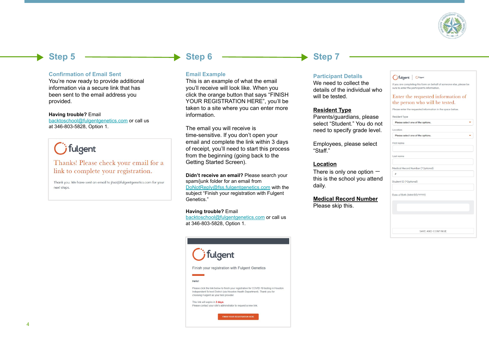

 $\ddot{\phantom{1}}$ 

÷

### **Step 5**

#### **Confirmation of Email Sent**

You're now ready to provide additional information via a secure link that has been sent to the email address you provided.

#### **Having trouble?** Email

[backtoschool@fulgentgenetics.com](mailto:backtoschool@fulgentgenetics.com) or call us at 346-803-5828, Option 1.

## *i* fulgent

### Thanks! Please check your email for a link to complete your registration.

Thank you. We have sent an email to jtsai@fulgentgenetics.com for your next steps.

### **Step 6**

### **Email Example**

This is an example of what the email you'll receive will look like. When you click the orange button that says "FINISH YOUR REGISTRATION HERE", you'll be taken to a site where you can enter more information.

The email you will receive is time-sensitive. If you don't open your email and complete the link within 3 days of receipt, you'll need to start this process from the beginning (going back to the Getting Started Screen).

**Didn't receive an email?** Please search your spam/junk folder for an email from [DoNotReply@fss.fulgentgenetics.com](mailto:DoNotReply@fss.fulgentgenetics.com) with the subject "Finish your registration with Fulgent Genetics."

#### **Having trouble?** Email

[backtoschool@fulgentgenetics.com](mailto:backtoschool@fulgentgenetics.com) or call us at 346-803-5828, Option 1.



### **Step 7**

### **Participant Details**

We need to collect the details of the individual who will be tested.

### **Resident Type**

Parents/guardians, please select "Student." You do not need to specify grade level.

Employees, please select "Staff."

### **Location**

There is only one option this is the school you attend daily.

### **Medical Record Number**

Please skip this.

### Cifulgent Ofulgent

If you are completing this form on behalf of someone else, please be sure to enter the participant's information.

#### Enter the requested information of the person who will be tested.

Please enter the requested information in the space below.

| <b>Resident Type</b>             |  |
|----------------------------------|--|
| Please select one of the options |  |

First name

Last name

| Location |  |  |  |
|----------|--|--|--|
|          |  |  |  |

|  |  | Please select one of the options. |  |
|--|--|-----------------------------------|--|
|  |  |                                   |  |

|  | Medical Record Number (*Optional) |  |
|--|-----------------------------------|--|
|  |                                   |  |

Student ID (\*Optional)

Date of Birth (MM/DD/YYYY)

| SAVE AND CONTINUE |  |
|-------------------|--|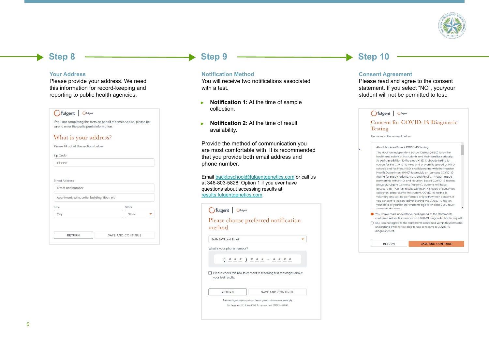

### **Step 8**

#### **Your Address**

Please provide your address. We need this information for record-keeping and reporting to public health agencies.

### **C**fulgent Cfulgent

If you are completing this form on behalf of someone else, please be sure to enter the participant's information.

### What is your address?

| #####                                         |                   |
|-----------------------------------------------|-------------------|
| <b>Street Address</b>                         |                   |
| Street and number                             |                   |
| Apartment, suite, unite, building, floor, etc |                   |
| City                                          | State             |
| City                                          | State             |
| <b>RETURN</b>                                 | SAVE AND CONTINUE |

### **Step 9**

#### **Notification Method**

You will receive two notifications associated with a test.

- ▶ **Notification 1:** At the time of sample collection.
- ▶ **Notification 2:** At the time of result availability.

Provide the method of communication you are most comfortable with. It is recommended that you provide both email address and phone number.

Email [backtoschool@fulgentgenetics.com](mailto:backtoschool@fulgentgenetics.com) or call us at 346-803-5828, Option 1 if you ever have questions about accessing results at [results.fulgentgenetics.com](http://results.fulgentgenetics.com).

| <b>C</b> fulgent Cfulgent  |                                                                                                                                  |
|----------------------------|----------------------------------------------------------------------------------------------------------------------------------|
| method                     | Please choose preferred notification                                                                                             |
| <b>Both SMS and Email</b>  |                                                                                                                                  |
| What is your phone number? |                                                                                                                                  |
|                            | $($ # # # $)$ # # # - # # # #                                                                                                    |
| vour test results.         | Please check this box to consent to receiving text messages about                                                                |
| <b>RETURN</b>              | SAVE AND CONTINUE                                                                                                                |
|                            | Text message frequency varies. Message and data rates may apply.<br>For help, text HELP to 49896. To opt-out, text STOP to 49896 |

### **Step 10**

#### **Consent Agreement**

Please read and agree to the consent statement. If you select "NO", you/your student will not be permitted to test.

| <i>i</i> fulgent | <b>C</b> fulgent |
|------------------|------------------|
|------------------|------------------|

#### **Consent for COVID-19 Diagnostic Testing**

Please read the consent below.

RETURN

#### About Back-to-School COVID-19 Testing

The Houston Independent School District (HISD) takes the health and safety of its students and their families seriously. As such, in addition to the steps HISD is already taking to screen for the COVID-19 virus and prevent its spread at HISD schools and facilities, HISD is collaborating with the Houston Health Department (HHD) to provide on-campus COVID-19 testing for HISD students, staff, and faculty. Through HISD's partnership with HHD, and Houston-based COVID-19 testing provider, Fulgent Genetics (Fulgent), students will have access to RT-PCR test results within 24-48 hours of specimen collection, at no cost to the student. COVID-19 testing is voluntary and will be performed only with written consent. If you consent to Fulgent administering the COVID-19 test on your child or yourself (for students age 18 or older), you must mplata this farm

Yes, I have read, understand, and agreed to the statements contained within this form for a COVID-19 diagnostic test for myself.  $\bigcirc$  NO, I do not agree to the statements contained within this form and

understand I will not be able to use or receive a COVID-19 diagnostic test.

**SAVE AND CONTINUE**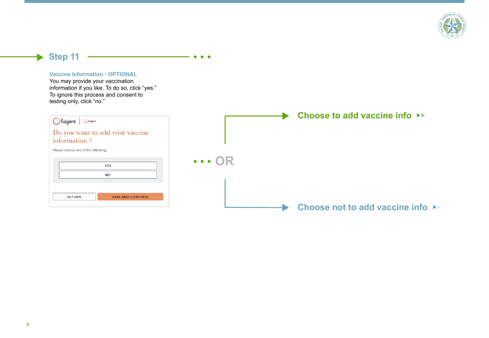

### **Step 11**



**CONTRACT**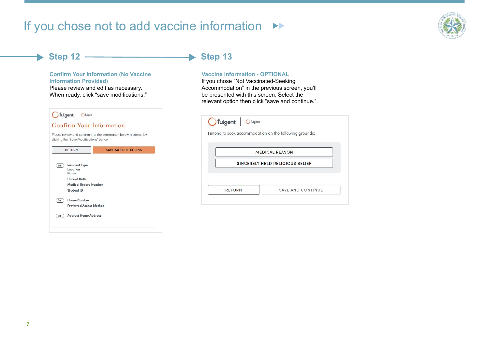## If you chose not to add vaccine information ▶▶



### **Step 12**

 $\blacktriangleright$ 

### **Confirm Your Information (No Vaccine Information Provided)**

Please review and edit as necessary. When ready, click "save modifications."

|      | clicking the "Save Modifications" button | Please review and confirm that the information below is correct by |
|------|------------------------------------------|--------------------------------------------------------------------|
|      | <b>RETURN</b>                            | <b>SAVE MODIFICATIONS</b>                                          |
|      |                                          |                                                                    |
| Edit | <b>Resident Type</b>                     |                                                                    |
|      | Location                                 |                                                                    |
|      | Name<br>Date of Birth                    |                                                                    |
|      | <b>Medical Record Number</b>             |                                                                    |
|      | Student ID                               |                                                                    |
|      | <b>Phone Number</b>                      |                                                                    |
| Edit | <b>Proforrod Accoss Mothod</b>           |                                                                    |
|      |                                          |                                                                    |
| Edit | <b>Address Home Address</b>              |                                                                    |

#### $\blacktriangleright$ **Step 13**

### **Vaccine Information - OPTIONAL**

If you chose "Not Vaccinated-Seeking Accommodation" in the previous screen, you'll be presented with this screen. Select the relevant option then click "save and continue."

|                                 | <b>MEDICAL REASON</b> |  |
|---------------------------------|-----------------------|--|
| SINCERELY HELD RELIGIOUS BELIEF |                       |  |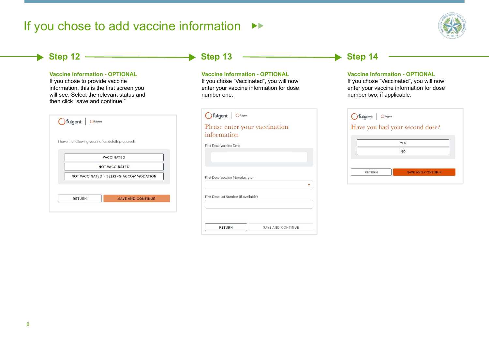## If you chose to add vaccine information ▶▶



#### **Step 12**  $\blacktriangleright$ **Step 13**  $\rightarrow$  Step 14 **Vaccine Information - OPTIONAL Vaccine Information - OPTIONAL Vaccine Information - OPTIONAL**  If you chose to provide vaccine If you chose "Vaccinated", you will now If you chose "Vaccinated", you will now information, this is the first screen you enter your vaccine information for dose enter your vaccine information for dose will see. Select the relevant status and number two, if applicable. number one. then click "save and continue." Cifulgent Cfulgent G fulgent | Ofulgent Cifulgent Cfulgent Please enter your vaccination Have you had your second dose? information I have the following vaccination details prepared: **YES First Dose Vaccine Date NO VACCINATED** NOT VACCINATED **RETURN SAVE AND CONTINUE** NOT VACCINATED - SEEKING ACCOMMODATION **First Dose Vaccine Manufacturer**  $\overline{\phantom{0}}$ First Dose Lot Number (if available) RETURN SAVE AND CONTINUE

SAVE AND CONTINUE

**RETURN**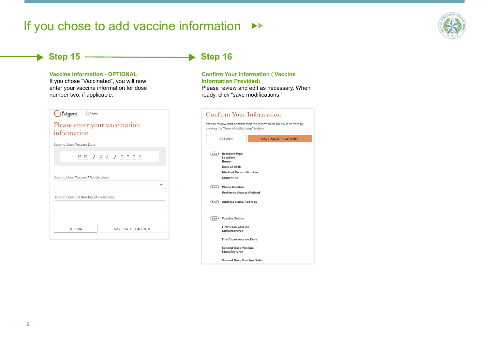## If you chose to add vaccine information ▶▶



### **Step 15**

### **Vaccine Information - OPTIONAL**

If you chose "Vaccinated", you will now enter your vaccine information for dose number two, if applicable.

| <b>C</b> fulgent Cfulgent                 |  |
|-------------------------------------------|--|
| Please enter your vaccination             |  |
| information                               |  |
| Second Dose Vaccine Date                  |  |
| MM / DD / YYYY                            |  |
|                                           |  |
| Second Dose Vaccine Manufacturer          |  |
|                                           |  |
| Second Dose Lot Number (if available)     |  |
|                                           |  |
|                                           |  |
| <b>SAVE AND CONTINUE</b><br><b>RETURN</b> |  |
|                                           |  |

#### **Step 16**  $\blacktriangleright$

### **Confirm Your Information ( Vaccine Information Provided)**

Please review and edit as necessary. When ready, click "save modifications."

|                    | <b>RETURN</b>                            | <b>SAVE MODIFICATIONS</b> |
|--------------------|------------------------------------------|---------------------------|
| $E$ dit            | <b>Resident Type</b><br>Location<br>Name |                           |
|                    | Date of Birth                            |                           |
|                    | <b>Medical Record Number</b>             |                           |
|                    | <b>Student ID</b>                        |                           |
| $Edi$ <sup>t</sup> | <b>Phone Number</b>                      |                           |
|                    | <b>Preferred Access Method</b>           |                           |
| $Edit$ )           | <b>Address Home Address</b>              |                           |
| $Edi$ <sup>t</sup> | <b>Vaccine Status</b>                    |                           |
|                    | <b>First Dose Vaccine</b>                |                           |
|                    | Manufacturer                             |                           |
|                    | <b>First Dose Vaccine Date</b>           |                           |
|                    | <b>Second Dose Vaccine</b>               |                           |
|                    | Manufacturer                             |                           |